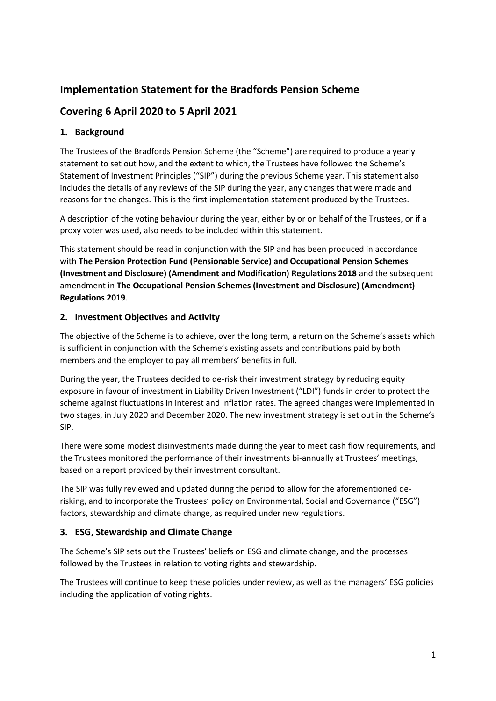# **Implementation Statement for the Bradfords Pension Scheme**

# **Covering 6 April 2020 to 5 April 2021**

## **1. Background**

The Trustees of the Bradfords Pension Scheme (the "Scheme") are required to produce a yearly statement to set out how, and the extent to which, the Trustees have followed the Scheme's Statement of Investment Principles ("SIP") during the previous Scheme year. This statement also includes the details of any reviews of the SIP during the year, any changes that were made and reasons for the changes. This is the first implementation statement produced by the Trustees.

A description of the voting behaviour during the year, either by or on behalf of the Trustees, or if a proxy voter was used, also needs to be included within this statement.

This statement should be read in conjunction with the SIP and has been produced in accordance with **The Pension Protection Fund (Pensionable Service) and Occupational Pension Schemes (Investment and Disclosure) (Amendment and Modification) Regulations 2018** and the subsequent amendment in **The Occupational Pension Schemes (Investment and Disclosure) (Amendment) Regulations 2019**.

## **2. Investment Objectives and Activity**

The objective of the Scheme is to achieve, over the long term, a return on the Scheme's assets which is sufficient in conjunction with the Scheme's existing assets and contributions paid by both members and the employer to pay all members' benefits in full.

During the year, the Trustees decided to de-risk their investment strategy by reducing equity exposure in favour of investment in Liability Driven Investment ("LDI") funds in order to protect the scheme against fluctuations in interest and inflation rates. The agreed changes were implemented in two stages, in July 2020 and December 2020. The new investment strategy is set out in the Scheme's SIP.

There were some modest disinvestments made during the year to meet cash flow requirements, and the Trustees monitored the performance of their investments bi-annually at Trustees' meetings, based on a report provided by their investment consultant.

The SIP was fully reviewed and updated during the period to allow for the aforementioned derisking, and to incorporate the Trustees' policy on Environmental, Social and Governance ("ESG") factors, stewardship and climate change, as required under new regulations.

#### **3. ESG, Stewardship and Climate Change**

The Scheme's SIP sets out the Trustees' beliefs on ESG and climate change, and the processes followed by the Trustees in relation to voting rights and stewardship.

The Trustees will continue to keep these policies under review, as well as the managers' ESG policies including the application of voting rights.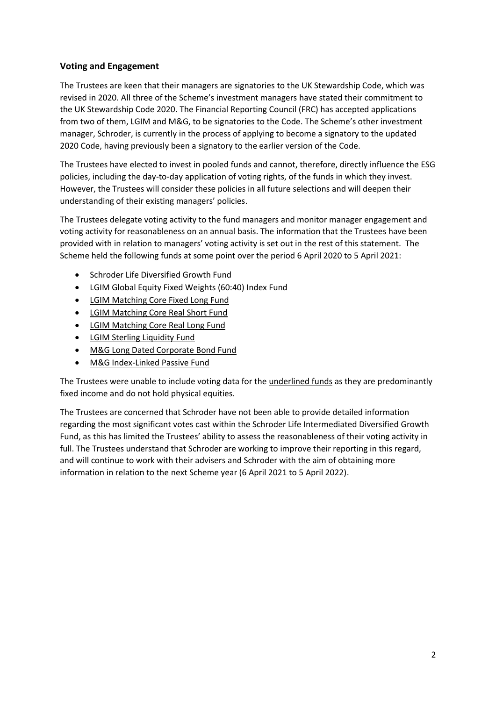#### **Voting and Engagement**

The Trustees are keen that their managers are signatories to the UK Stewardship Code, which was revised in 2020. All three of the Scheme's investment managers have stated their commitment to the UK Stewardship Code 2020. The Financial Reporting Council (FRC) has accepted applications from two of them, LGIM and M&G, to be signatories to the Code. The Scheme's other investment manager, Schroder, is currently in the process of applying to become a signatory to the updated 2020 Code, having previously been a signatory to the earlier version of the Code.

The Trustees have elected to invest in pooled funds and cannot, therefore, directly influence the ESG policies, including the day-to-day application of voting rights, of the funds in which they invest. However, the Trustees will consider these policies in all future selections and will deepen their understanding of their existing managers' policies.

The Trustees delegate voting activity to the fund managers and monitor manager engagement and voting activity for reasonableness on an annual basis. The information that the Trustees have been provided with in relation to managers' voting activity is set out in the rest of this statement. The Scheme held the following funds at some point over the period 6 April 2020 to 5 April 2021:

- Schroder Life Diversified Growth Fund
- LGIM Global Equity Fixed Weights (60:40) Index Fund
- LGIM Matching Core Fixed Long Fund
- LGIM Matching Core Real Short Fund
- LGIM Matching Core Real Long Fund
- LGIM Sterling Liquidity Fund
- M&G Long Dated Corporate Bond Fund
- M&G Index-Linked Passive Fund

The Trustees were unable to include voting data for the underlined funds as they are predominantly fixed income and do not hold physical equities.

The Trustees are concerned that Schroder have not been able to provide detailed information regarding the most significant votes cast within the Schroder Life Intermediated Diversified Growth Fund, as this has limited the Trustees' ability to assess the reasonableness of their voting activity in full. The Trustees understand that Schroder are working to improve their reporting in this regard, and will continue to work with their advisers and Schroder with the aim of obtaining more information in relation to the next Scheme year (6 April 2021 to 5 April 2022).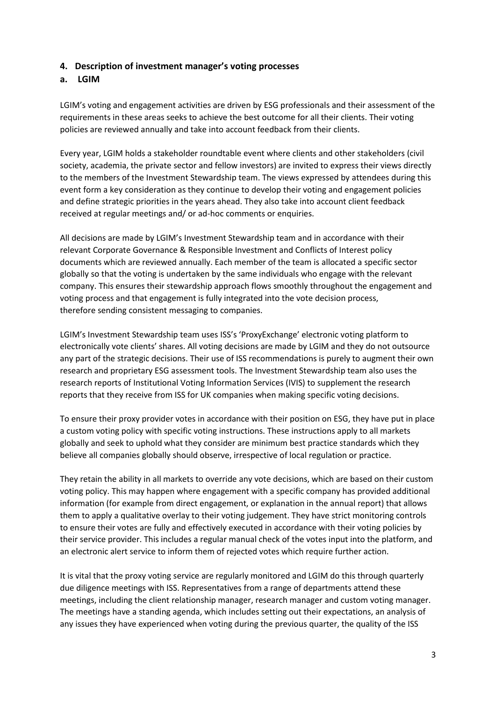#### **4. Description of investment manager's voting processes**

#### **a. LGIM**

LGIM's voting and engagement activities are driven by ESG professionals and their assessment of the requirements in these areas seeks to achieve the best outcome for all their clients. Their voting policies are reviewed annually and take into account feedback from their clients.

Every year, LGIM holds a stakeholder roundtable event where clients and other stakeholders (civil society, academia, the private sector and fellow investors) are invited to express their views directly to the members of the Investment Stewardship team. The views expressed by attendees during this event form a key consideration as they continue to develop their voting and engagement policies and define strategic priorities in the years ahead. They also take into account client feedback received at regular meetings and/ or ad-hoc comments or enquiries.

All decisions are made by LGIM's Investment Stewardship team and in accordance with their relevant Corporate Governance & Responsible Investment and Conflicts of Interest policy documents which are reviewed annually. Each member of the team is allocated a specific sector globally so that the voting is undertaken by the same individuals who engage with the relevant company. This ensures their stewardship approach flows smoothly throughout the engagement and voting process and that engagement is fully integrated into the vote decision process, therefore sending consistent messaging to companies.

LGIM's Investment Stewardship team uses ISS's 'ProxyExchange' electronic voting platform to electronically vote clients' shares. All voting decisions are made by LGIM and they do not outsource any part of the strategic decisions. Their use of ISS recommendations is purely to augment their own research and proprietary ESG assessment tools. The Investment Stewardship team also uses the research reports of Institutional Voting Information Services (IVIS) to supplement the research reports that they receive from ISS for UK companies when making specific voting decisions.

To ensure their proxy provider votes in accordance with their position on ESG, they have put in place a custom voting policy with specific voting instructions. These instructions apply to all markets globally and seek to uphold what they consider are minimum best practice standards which they believe all companies globally should observe, irrespective of local regulation or practice.

They retain the ability in all markets to override any vote decisions, which are based on their custom voting policy. This may happen where engagement with a specific company has provided additional information (for example from direct engagement, or explanation in the annual report) that allows them to apply a qualitative overlay to their voting judgement. They have strict monitoring controls to ensure their votes are fully and effectively executed in accordance with their voting policies by their service provider. This includes a regular manual check of the votes input into the platform, and an electronic alert service to inform them of rejected votes which require further action.

It is vital that the proxy voting service are regularly monitored and LGIM do this through quarterly due diligence meetings with ISS. Representatives from a range of departments attend these meetings, including the client relationship manager, research manager and custom voting manager. The meetings have a standing agenda, which includes setting out their expectations, an analysis of any issues they have experienced when voting during the previous quarter, the quality of the ISS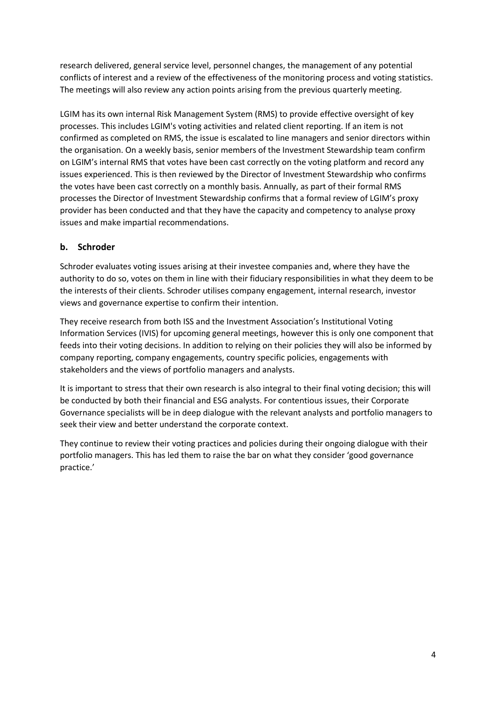research delivered, general service level, personnel changes, the management of any potential conflicts of interest and a review of the effectiveness of the monitoring process and voting statistics. The meetings will also review any action points arising from the previous quarterly meeting.

LGIM has its own internal Risk Management System (RMS) to provide effective oversight of key processes. This includes LGIM's voting activities and related client reporting. If an item is not confirmed as completed on RMS, the issue is escalated to line managers and senior directors within the organisation. On a weekly basis, senior members of the Investment Stewardship team confirm on LGIM's internal RMS that votes have been cast correctly on the voting platform and record any issues experienced. This is then reviewed by the Director of Investment Stewardship who confirms the votes have been cast correctly on a monthly basis. Annually, as part of their formal RMS processes the Director of Investment Stewardship confirms that a formal review of LGIM's proxy provider has been conducted and that they have the capacity and competency to analyse proxy issues and make impartial recommendations.

#### **b. Schroder**

Schroder evaluates voting issues arising at their investee companies and, where they have the authority to do so, votes on them in line with their fiduciary responsibilities in what they deem to be the interests of their clients. Schroder utilises company engagement, internal research, investor views and governance expertise to confirm their intention.

They receive research from both ISS and the Investment Association's Institutional Voting Information Services (IVIS) for upcoming general meetings, however this is only one component that feeds into their voting decisions. In addition to relying on their policies they will also be informed by company reporting, company engagements, country specific policies, engagements with stakeholders and the views of portfolio managers and analysts.

It is important to stress that their own research is also integral to their final voting decision; this will be conducted by both their financial and ESG analysts. For contentious issues, their Corporate Governance specialists will be in deep dialogue with the relevant analysts and portfolio managers to seek their view and better understand the corporate context.

They continue to review their voting practices and policies during their ongoing dialogue with their portfolio managers. This has led them to raise the bar on what they consider 'good governance practice.'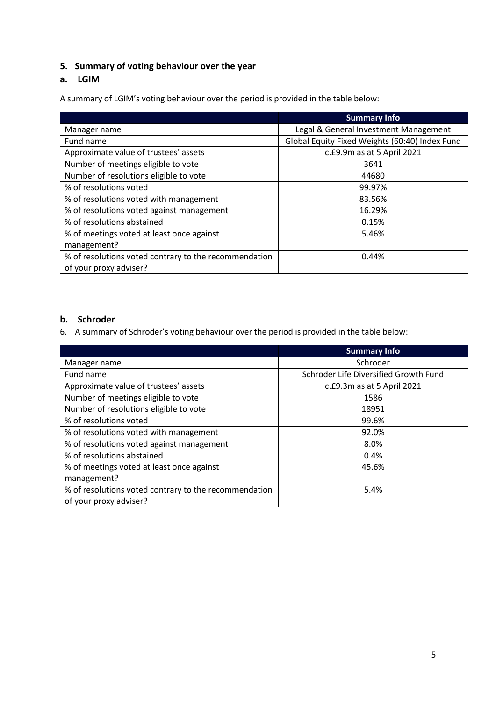## **5. Summary of voting behaviour over the year**

#### **a. LGIM**

A summary of LGIM's voting behaviour over the period is provided in the table below:

|                                                       | <b>Summary Info</b>                            |
|-------------------------------------------------------|------------------------------------------------|
| Manager name                                          | Legal & General Investment Management          |
| Fund name                                             | Global Equity Fixed Weights (60:40) Index Fund |
| Approximate value of trustees' assets                 | c.£9.9m as at 5 April 2021                     |
| Number of meetings eligible to vote                   | 3641                                           |
| Number of resolutions eligible to vote                | 44680                                          |
| % of resolutions voted                                | 99.97%                                         |
| % of resolutions voted with management                | 83.56%                                         |
| % of resolutions voted against management             | 16.29%                                         |
| % of resolutions abstained                            | 0.15%                                          |
| % of meetings voted at least once against             | 5.46%                                          |
| management?                                           |                                                |
| % of resolutions voted contrary to the recommendation | 0.44%                                          |
| of your proxy adviser?                                |                                                |

#### **b. Schroder**

6. A summary of Schroder's voting behaviour over the period is provided in the table below:

|                                                       | <b>Summary Info</b>                   |
|-------------------------------------------------------|---------------------------------------|
| Manager name                                          | Schroder                              |
| Fund name                                             | Schroder Life Diversified Growth Fund |
| Approximate value of trustees' assets                 | c.£9.3m as at 5 April 2021            |
| Number of meetings eligible to vote                   | 1586                                  |
| Number of resolutions eligible to vote                | 18951                                 |
| % of resolutions voted                                | 99.6%                                 |
| % of resolutions voted with management                | 92.0%                                 |
| % of resolutions voted against management             | 8.0%                                  |
| % of resolutions abstained                            | 0.4%                                  |
| % of meetings voted at least once against             | 45.6%                                 |
| management?                                           |                                       |
| % of resolutions voted contrary to the recommendation | 5.4%                                  |
| of your proxy adviser?                                |                                       |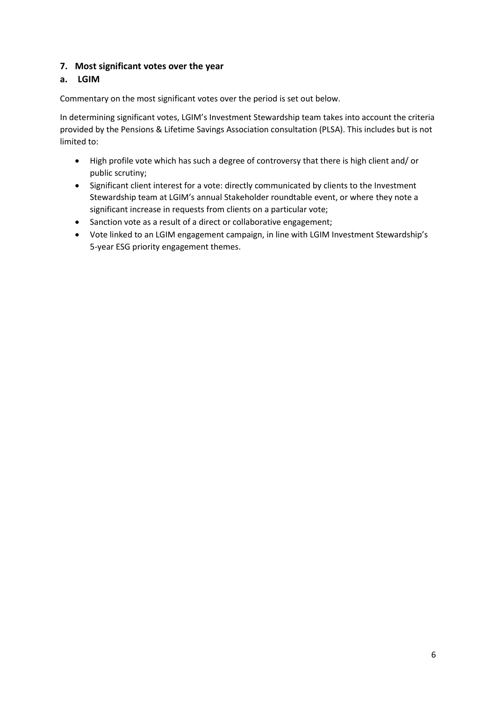#### **7. Most significant votes over the year**

## **a. LGIM**

Commentary on the most significant votes over the period is set out below.

In determining significant votes, LGIM's Investment Stewardship team takes into account the criteria provided by the Pensions & Lifetime Savings Association consultation (PLSA). This includes but is not limited to:

- High profile vote which has such a degree of controversy that there is high client and/ or public scrutiny;
- Significant client interest for a vote: directly communicated by clients to the Investment Stewardship team at LGIM's annual Stakeholder roundtable event, or where they note a significant increase in requests from clients on a particular vote;
- Sanction vote as a result of a direct or collaborative engagement;
- Vote linked to an LGIM engagement campaign, in line with LGIM Investment Stewardship's 5-year ESG priority engagement themes.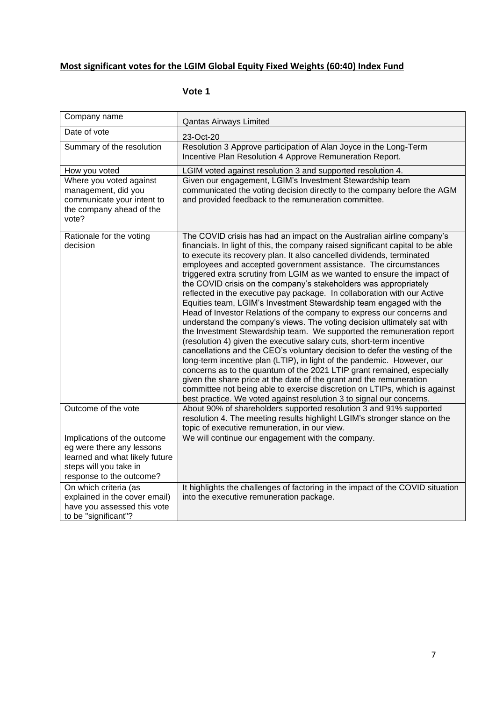# **Most significant votes for the LGIM Global Equity Fixed Weights (60:40) Index Fund**

| Company name                                                                                                                                     | <b>Qantas Airways Limited</b>                                                                                                                                                                                                                                                                                                                                                                                                                                                                                                                                                                                                                                                                                                                                                                                                                                                                                                                                                                                                                                                                                                                                                                                                                                                                                                                                               |
|--------------------------------------------------------------------------------------------------------------------------------------------------|-----------------------------------------------------------------------------------------------------------------------------------------------------------------------------------------------------------------------------------------------------------------------------------------------------------------------------------------------------------------------------------------------------------------------------------------------------------------------------------------------------------------------------------------------------------------------------------------------------------------------------------------------------------------------------------------------------------------------------------------------------------------------------------------------------------------------------------------------------------------------------------------------------------------------------------------------------------------------------------------------------------------------------------------------------------------------------------------------------------------------------------------------------------------------------------------------------------------------------------------------------------------------------------------------------------------------------------------------------------------------------|
| Date of vote                                                                                                                                     | 23-Oct-20                                                                                                                                                                                                                                                                                                                                                                                                                                                                                                                                                                                                                                                                                                                                                                                                                                                                                                                                                                                                                                                                                                                                                                                                                                                                                                                                                                   |
| Summary of the resolution                                                                                                                        | Resolution 3 Approve participation of Alan Joyce in the Long-Term<br>Incentive Plan Resolution 4 Approve Remuneration Report.                                                                                                                                                                                                                                                                                                                                                                                                                                                                                                                                                                                                                                                                                                                                                                                                                                                                                                                                                                                                                                                                                                                                                                                                                                               |
| How you voted                                                                                                                                    | LGIM voted against resolution 3 and supported resolution 4.                                                                                                                                                                                                                                                                                                                                                                                                                                                                                                                                                                                                                                                                                                                                                                                                                                                                                                                                                                                                                                                                                                                                                                                                                                                                                                                 |
| Where you voted against<br>management, did you<br>communicate your intent to<br>the company ahead of the<br>vote?                                | Given our engagement, LGIM's Investment Stewardship team<br>communicated the voting decision directly to the company before the AGM<br>and provided feedback to the remuneration committee.                                                                                                                                                                                                                                                                                                                                                                                                                                                                                                                                                                                                                                                                                                                                                                                                                                                                                                                                                                                                                                                                                                                                                                                 |
| Rationale for the voting<br>decision                                                                                                             | The COVID crisis has had an impact on the Australian airline company's<br>financials. In light of this, the company raised significant capital to be able<br>to execute its recovery plan. It also cancelled dividends, terminated<br>employees and accepted government assistance. The circumstances<br>triggered extra scrutiny from LGIM as we wanted to ensure the impact of<br>the COVID crisis on the company's stakeholders was appropriately<br>reflected in the executive pay package. In collaboration with our Active<br>Equities team, LGIM's Investment Stewardship team engaged with the<br>Head of Investor Relations of the company to express our concerns and<br>understand the company's views. The voting decision ultimately sat with<br>the Investment Stewardship team. We supported the remuneration report<br>(resolution 4) given the executive salary cuts, short-term incentive<br>cancellations and the CEO's voluntary decision to defer the vesting of the<br>long-term incentive plan (LTIP), in light of the pandemic. However, our<br>concerns as to the quantum of the 2021 LTIP grant remained, especially<br>given the share price at the date of the grant and the remuneration<br>committee not being able to exercise discretion on LTIPs, which is against<br>best practice. We voted against resolution 3 to signal our concerns. |
| Outcome of the vote                                                                                                                              | About 90% of shareholders supported resolution 3 and 91% supported<br>resolution 4. The meeting results highlight LGIM's stronger stance on the<br>topic of executive remuneration, in our view.                                                                                                                                                                                                                                                                                                                                                                                                                                                                                                                                                                                                                                                                                                                                                                                                                                                                                                                                                                                                                                                                                                                                                                            |
| Implications of the outcome<br>eg were there any lessons<br>learned and what likely future<br>steps will you take in<br>response to the outcome? | We will continue our engagement with the company.                                                                                                                                                                                                                                                                                                                                                                                                                                                                                                                                                                                                                                                                                                                                                                                                                                                                                                                                                                                                                                                                                                                                                                                                                                                                                                                           |
| On which criteria (as<br>explained in the cover email)<br>have you assessed this vote<br>to be "significant"?                                    | It highlights the challenges of factoring in the impact of the COVID situation<br>into the executive remuneration package.                                                                                                                                                                                                                                                                                                                                                                                                                                                                                                                                                                                                                                                                                                                                                                                                                                                                                                                                                                                                                                                                                                                                                                                                                                                  |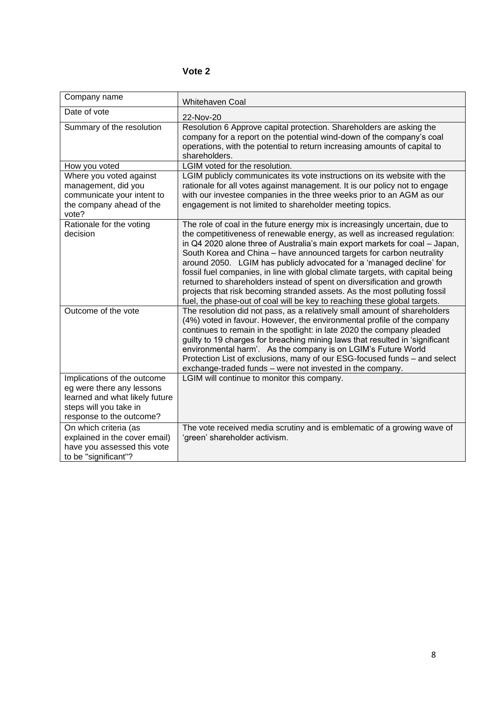| Company name                                                                                                                                     | <b>Whitehaven Coal</b>                                                                                                                                                                                                                                                                                                                                                                                                                                                                                                                                                                                                                                                                                         |
|--------------------------------------------------------------------------------------------------------------------------------------------------|----------------------------------------------------------------------------------------------------------------------------------------------------------------------------------------------------------------------------------------------------------------------------------------------------------------------------------------------------------------------------------------------------------------------------------------------------------------------------------------------------------------------------------------------------------------------------------------------------------------------------------------------------------------------------------------------------------------|
| Date of vote                                                                                                                                     | 22-Nov-20                                                                                                                                                                                                                                                                                                                                                                                                                                                                                                                                                                                                                                                                                                      |
| Summary of the resolution                                                                                                                        | Resolution 6 Approve capital protection. Shareholders are asking the<br>company for a report on the potential wind-down of the company's coal<br>operations, with the potential to return increasing amounts of capital to<br>shareholders.                                                                                                                                                                                                                                                                                                                                                                                                                                                                    |
| How you voted                                                                                                                                    | LGIM voted for the resolution.                                                                                                                                                                                                                                                                                                                                                                                                                                                                                                                                                                                                                                                                                 |
| Where you voted against<br>management, did you<br>communicate your intent to<br>the company ahead of the<br>vote?                                | LGIM publicly communicates its vote instructions on its website with the<br>rationale for all votes against management. It is our policy not to engage<br>with our investee companies in the three weeks prior to an AGM as our<br>engagement is not limited to shareholder meeting topics.                                                                                                                                                                                                                                                                                                                                                                                                                    |
| Rationale for the voting<br>decision                                                                                                             | The role of coal in the future energy mix is increasingly uncertain, due to<br>the competitiveness of renewable energy, as well as increased regulation:<br>in Q4 2020 alone three of Australia's main export markets for coal - Japan,<br>South Korea and China - have announced targets for carbon neutrality<br>around 2050. LGIM has publicly advocated for a 'managed decline' for<br>fossil fuel companies, in line with global climate targets, with capital being<br>returned to shareholders instead of spent on diversification and growth<br>projects that risk becoming stranded assets. As the most polluting fossil<br>fuel, the phase-out of coal will be key to reaching these global targets. |
| Outcome of the vote                                                                                                                              | The resolution did not pass, as a relatively small amount of shareholders<br>(4%) voted in favour. However, the environmental profile of the company<br>continues to remain in the spotlight: in late 2020 the company pleaded<br>guilty to 19 charges for breaching mining laws that resulted in 'significant<br>environmental harm'. As the company is on LGIM's Future World<br>Protection List of exclusions, many of our ESG-focused funds - and select<br>exchange-traded funds - were not invested in the company.                                                                                                                                                                                      |
| Implications of the outcome<br>eg were there any lessons<br>learned and what likely future<br>steps will you take in<br>response to the outcome? | LGIM will continue to monitor this company.                                                                                                                                                                                                                                                                                                                                                                                                                                                                                                                                                                                                                                                                    |
| On which criteria (as<br>explained in the cover email)<br>have you assessed this vote<br>to be "significant"?                                    | The vote received media scrutiny and is emblematic of a growing wave of<br>'green' shareholder activism.                                                                                                                                                                                                                                                                                                                                                                                                                                                                                                                                                                                                       |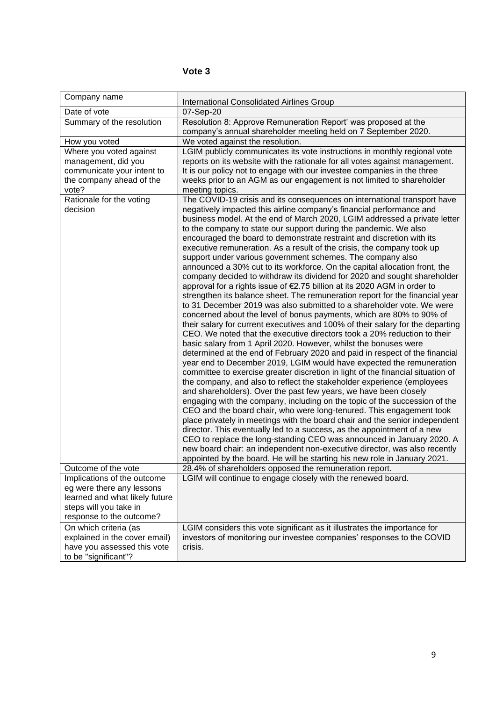| Company name                                                                                                                                     | International Consolidated Airlines Group                                                                                                                                                                                                                                                                                                                                                                                                                                                                                                                                                                                                                                                                                                                                                                                                                                                                                                                                                                                                                                                                                                                                                                                                                                                                                                                                                                                                                                                                                                                                                                                                                                                                                                                                                                                                                                                                                                                                                                                                                                                                                                                              |
|--------------------------------------------------------------------------------------------------------------------------------------------------|------------------------------------------------------------------------------------------------------------------------------------------------------------------------------------------------------------------------------------------------------------------------------------------------------------------------------------------------------------------------------------------------------------------------------------------------------------------------------------------------------------------------------------------------------------------------------------------------------------------------------------------------------------------------------------------------------------------------------------------------------------------------------------------------------------------------------------------------------------------------------------------------------------------------------------------------------------------------------------------------------------------------------------------------------------------------------------------------------------------------------------------------------------------------------------------------------------------------------------------------------------------------------------------------------------------------------------------------------------------------------------------------------------------------------------------------------------------------------------------------------------------------------------------------------------------------------------------------------------------------------------------------------------------------------------------------------------------------------------------------------------------------------------------------------------------------------------------------------------------------------------------------------------------------------------------------------------------------------------------------------------------------------------------------------------------------------------------------------------------------------------------------------------------------|
| Date of vote                                                                                                                                     | 07-Sep-20                                                                                                                                                                                                                                                                                                                                                                                                                                                                                                                                                                                                                                                                                                                                                                                                                                                                                                                                                                                                                                                                                                                                                                                                                                                                                                                                                                                                                                                                                                                                                                                                                                                                                                                                                                                                                                                                                                                                                                                                                                                                                                                                                              |
| Summary of the resolution                                                                                                                        | Resolution 8: Approve Remuneration Report' was proposed at the<br>company's annual shareholder meeting held on 7 September 2020.                                                                                                                                                                                                                                                                                                                                                                                                                                                                                                                                                                                                                                                                                                                                                                                                                                                                                                                                                                                                                                                                                                                                                                                                                                                                                                                                                                                                                                                                                                                                                                                                                                                                                                                                                                                                                                                                                                                                                                                                                                       |
| How you voted                                                                                                                                    | We voted against the resolution.                                                                                                                                                                                                                                                                                                                                                                                                                                                                                                                                                                                                                                                                                                                                                                                                                                                                                                                                                                                                                                                                                                                                                                                                                                                                                                                                                                                                                                                                                                                                                                                                                                                                                                                                                                                                                                                                                                                                                                                                                                                                                                                                       |
| Where you voted against<br>management, did you<br>communicate your intent to<br>the company ahead of the<br>vote?                                | LGIM publicly communicates its vote instructions in monthly regional vote<br>reports on its website with the rationale for all votes against management.<br>It is our policy not to engage with our investee companies in the three<br>weeks prior to an AGM as our engagement is not limited to shareholder<br>meeting topics.                                                                                                                                                                                                                                                                                                                                                                                                                                                                                                                                                                                                                                                                                                                                                                                                                                                                                                                                                                                                                                                                                                                                                                                                                                                                                                                                                                                                                                                                                                                                                                                                                                                                                                                                                                                                                                        |
| Rationale for the voting<br>decision                                                                                                             | The COVID-19 crisis and its consequences on international transport have<br>negatively impacted this airline company's financial performance and<br>business model. At the end of March 2020, LGIM addressed a private letter<br>to the company to state our support during the pandemic. We also<br>encouraged the board to demonstrate restraint and discretion with its<br>executive remuneration. As a result of the crisis, the company took up<br>support under various government schemes. The company also<br>announced a 30% cut to its workforce. On the capital allocation front, the<br>company decided to withdraw its dividend for 2020 and sought shareholder<br>approval for a rights issue of €2.75 billion at its 2020 AGM in order to<br>strengthen its balance sheet. The remuneration report for the financial year<br>to 31 December 2019 was also submitted to a shareholder vote. We were<br>concerned about the level of bonus payments, which are 80% to 90% of<br>their salary for current executives and 100% of their salary for the departing<br>CEO. We noted that the executive directors took a 20% reduction to their<br>basic salary from 1 April 2020. However, whilst the bonuses were<br>determined at the end of February 2020 and paid in respect of the financial<br>year end to December 2019, LGIM would have expected the remuneration<br>committee to exercise greater discretion in light of the financial situation of<br>the company, and also to reflect the stakeholder experience (employees<br>and shareholders). Over the past few years, we have been closely<br>engaging with the company, including on the topic of the succession of the<br>CEO and the board chair, who were long-tenured. This engagement took<br>place privately in meetings with the board chair and the senior independent<br>director. This eventually led to a success, as the appointment of a new<br>CEO to replace the long-standing CEO was announced in January 2020. A<br>new board chair: an independent non-executive director, was also recently<br>appointed by the board. He will be starting his new role in January 2021. |
| Outcome of the vote                                                                                                                              | 28.4% of shareholders opposed the remuneration report.                                                                                                                                                                                                                                                                                                                                                                                                                                                                                                                                                                                                                                                                                                                                                                                                                                                                                                                                                                                                                                                                                                                                                                                                                                                                                                                                                                                                                                                                                                                                                                                                                                                                                                                                                                                                                                                                                                                                                                                                                                                                                                                 |
| Implications of the outcome<br>eg were there any lessons<br>learned and what likely future<br>steps will you take in<br>response to the outcome? | LGIM will continue to engage closely with the renewed board.                                                                                                                                                                                                                                                                                                                                                                                                                                                                                                                                                                                                                                                                                                                                                                                                                                                                                                                                                                                                                                                                                                                                                                                                                                                                                                                                                                                                                                                                                                                                                                                                                                                                                                                                                                                                                                                                                                                                                                                                                                                                                                           |
| On which criteria (as<br>explained in the cover email)<br>have you assessed this vote<br>to be "significant"?                                    | LGIM considers this vote significant as it illustrates the importance for<br>investors of monitoring our investee companies' responses to the COVID<br>crisis.                                                                                                                                                                                                                                                                                                                                                                                                                                                                                                                                                                                                                                                                                                                                                                                                                                                                                                                                                                                                                                                                                                                                                                                                                                                                                                                                                                                                                                                                                                                                                                                                                                                                                                                                                                                                                                                                                                                                                                                                         |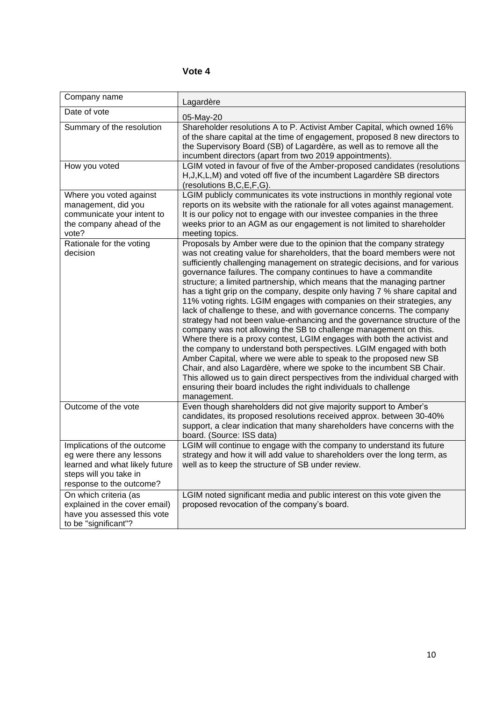| Company name                                                                                                                                     | Lagardère                                                                                                                                                                                                                                                                                                                                                                                                                                                                                                                                                                                                                                                                                                                                                                                                                                                                                                                                                                                                                                                                                                                                                                                                                          |
|--------------------------------------------------------------------------------------------------------------------------------------------------|------------------------------------------------------------------------------------------------------------------------------------------------------------------------------------------------------------------------------------------------------------------------------------------------------------------------------------------------------------------------------------------------------------------------------------------------------------------------------------------------------------------------------------------------------------------------------------------------------------------------------------------------------------------------------------------------------------------------------------------------------------------------------------------------------------------------------------------------------------------------------------------------------------------------------------------------------------------------------------------------------------------------------------------------------------------------------------------------------------------------------------------------------------------------------------------------------------------------------------|
| Date of vote                                                                                                                                     | 05-May-20                                                                                                                                                                                                                                                                                                                                                                                                                                                                                                                                                                                                                                                                                                                                                                                                                                                                                                                                                                                                                                                                                                                                                                                                                          |
| Summary of the resolution                                                                                                                        | Shareholder resolutions A to P. Activist Amber Capital, which owned 16%<br>of the share capital at the time of engagement, proposed 8 new directors to<br>the Supervisory Board (SB) of Lagardère, as well as to remove all the<br>incumbent directors (apart from two 2019 appointments).                                                                                                                                                                                                                                                                                                                                                                                                                                                                                                                                                                                                                                                                                                                                                                                                                                                                                                                                         |
| How you voted                                                                                                                                    | LGIM voted in favour of five of the Amber-proposed candidates (resolutions<br>H, J, K, L, M) and voted off five of the incumbent Lagardère SB directors<br>(resolutions B,C,E,F,G).                                                                                                                                                                                                                                                                                                                                                                                                                                                                                                                                                                                                                                                                                                                                                                                                                                                                                                                                                                                                                                                |
| Where you voted against<br>management, did you<br>communicate your intent to<br>the company ahead of the<br>vote?                                | LGIM publicly communicates its vote instructions in monthly regional vote<br>reports on its website with the rationale for all votes against management.<br>It is our policy not to engage with our investee companies in the three<br>weeks prior to an AGM as our engagement is not limited to shareholder<br>meeting topics.                                                                                                                                                                                                                                                                                                                                                                                                                                                                                                                                                                                                                                                                                                                                                                                                                                                                                                    |
| Rationale for the voting<br>decision                                                                                                             | Proposals by Amber were due to the opinion that the company strategy<br>was not creating value for shareholders, that the board members were not<br>sufficiently challenging management on strategic decisions, and for various<br>governance failures. The company continues to have a commandite<br>structure; a limited partnership, which means that the managing partner<br>has a tight grip on the company, despite only having 7 % share capital and<br>11% voting rights. LGIM engages with companies on their strategies, any<br>lack of challenge to these, and with governance concerns. The company<br>strategy had not been value-enhancing and the governance structure of the<br>company was not allowing the SB to challenge management on this.<br>Where there is a proxy contest, LGIM engages with both the activist and<br>the company to understand both perspectives. LGIM engaged with both<br>Amber Capital, where we were able to speak to the proposed new SB<br>Chair, and also Lagardère, where we spoke to the incumbent SB Chair.<br>This allowed us to gain direct perspectives from the individual charged with<br>ensuring their board includes the right individuals to challenge<br>management. |
| Outcome of the vote                                                                                                                              | Even though shareholders did not give majority support to Amber's<br>candidates, its proposed resolutions received approx. between 30-40%<br>support, a clear indication that many shareholders have concerns with the<br>board. (Source: ISS data)                                                                                                                                                                                                                                                                                                                                                                                                                                                                                                                                                                                                                                                                                                                                                                                                                                                                                                                                                                                |
| Implications of the outcome<br>eg were there any lessons<br>learned and what likely future<br>steps will you take in<br>response to the outcome? | LGIM will continue to engage with the company to understand its future<br>strategy and how it will add value to shareholders over the long term, as<br>well as to keep the structure of SB under review.                                                                                                                                                                                                                                                                                                                                                                                                                                                                                                                                                                                                                                                                                                                                                                                                                                                                                                                                                                                                                           |
| On which criteria (as<br>explained in the cover email)<br>have you assessed this vote<br>to be "significant"?                                    | LGIM noted significant media and public interest on this vote given the<br>proposed revocation of the company's board.                                                                                                                                                                                                                                                                                                                                                                                                                                                                                                                                                                                                                                                                                                                                                                                                                                                                                                                                                                                                                                                                                                             |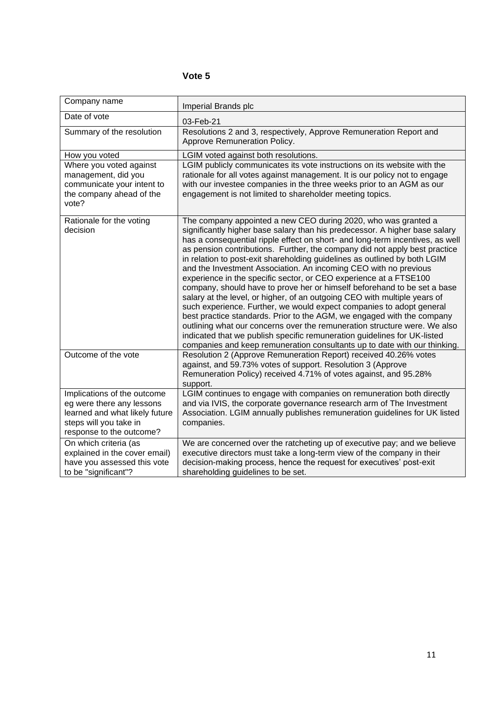| Company name                                                                                                                                     | Imperial Brands plc                                                                                                                                                                                                                                                                                                                                                                                                                                                                                                                                                                                                                                                                                                                                                                                                                                                                                                                                                                                                                                                                 |
|--------------------------------------------------------------------------------------------------------------------------------------------------|-------------------------------------------------------------------------------------------------------------------------------------------------------------------------------------------------------------------------------------------------------------------------------------------------------------------------------------------------------------------------------------------------------------------------------------------------------------------------------------------------------------------------------------------------------------------------------------------------------------------------------------------------------------------------------------------------------------------------------------------------------------------------------------------------------------------------------------------------------------------------------------------------------------------------------------------------------------------------------------------------------------------------------------------------------------------------------------|
| Date of vote                                                                                                                                     | 03-Feb-21                                                                                                                                                                                                                                                                                                                                                                                                                                                                                                                                                                                                                                                                                                                                                                                                                                                                                                                                                                                                                                                                           |
| Summary of the resolution                                                                                                                        | Resolutions 2 and 3, respectively, Approve Remuneration Report and<br>Approve Remuneration Policy.                                                                                                                                                                                                                                                                                                                                                                                                                                                                                                                                                                                                                                                                                                                                                                                                                                                                                                                                                                                  |
| How you voted                                                                                                                                    | LGIM voted against both resolutions.                                                                                                                                                                                                                                                                                                                                                                                                                                                                                                                                                                                                                                                                                                                                                                                                                                                                                                                                                                                                                                                |
| Where you voted against<br>management, did you<br>communicate your intent to<br>the company ahead of the<br>vote?                                | LGIM publicly communicates its vote instructions on its website with the<br>rationale for all votes against management. It is our policy not to engage<br>with our investee companies in the three weeks prior to an AGM as our<br>engagement is not limited to shareholder meeting topics.                                                                                                                                                                                                                                                                                                                                                                                                                                                                                                                                                                                                                                                                                                                                                                                         |
| Rationale for the voting<br>decision                                                                                                             | The company appointed a new CEO during 2020, who was granted a<br>significantly higher base salary than his predecessor. A higher base salary<br>has a consequential ripple effect on short- and long-term incentives, as well<br>as pension contributions. Further, the company did not apply best practice<br>in relation to post-exit shareholding guidelines as outlined by both LGIM<br>and the Investment Association. An incoming CEO with no previous<br>experience in the specific sector, or CEO experience at a FTSE100<br>company, should have to prove her or himself beforehand to be set a base<br>salary at the level, or higher, of an outgoing CEO with multiple years of<br>such experience. Further, we would expect companies to adopt general<br>best practice standards. Prior to the AGM, we engaged with the company<br>outlining what our concerns over the remuneration structure were. We also<br>indicated that we publish specific remuneration guidelines for UK-listed<br>companies and keep remuneration consultants up to date with our thinking. |
| Outcome of the vote                                                                                                                              | Resolution 2 (Approve Remuneration Report) received 40.26% votes<br>against, and 59.73% votes of support. Resolution 3 (Approve<br>Remuneration Policy) received 4.71% of votes against, and 95.28%<br>support.                                                                                                                                                                                                                                                                                                                                                                                                                                                                                                                                                                                                                                                                                                                                                                                                                                                                     |
| Implications of the outcome<br>eg were there any lessons<br>learned and what likely future<br>steps will you take in<br>response to the outcome? | LGIM continues to engage with companies on remuneration both directly<br>and via IVIS, the corporate governance research arm of The Investment<br>Association. LGIM annually publishes remuneration guidelines for UK listed<br>companies.                                                                                                                                                                                                                                                                                                                                                                                                                                                                                                                                                                                                                                                                                                                                                                                                                                          |
| On which criteria (as<br>explained in the cover email)<br>have you assessed this vote<br>to be "significant"?                                    | We are concerned over the ratcheting up of executive pay; and we believe<br>executive directors must take a long-term view of the company in their<br>decision-making process, hence the request for executives' post-exit<br>shareholding guidelines to be set.                                                                                                                                                                                                                                                                                                                                                                                                                                                                                                                                                                                                                                                                                                                                                                                                                    |